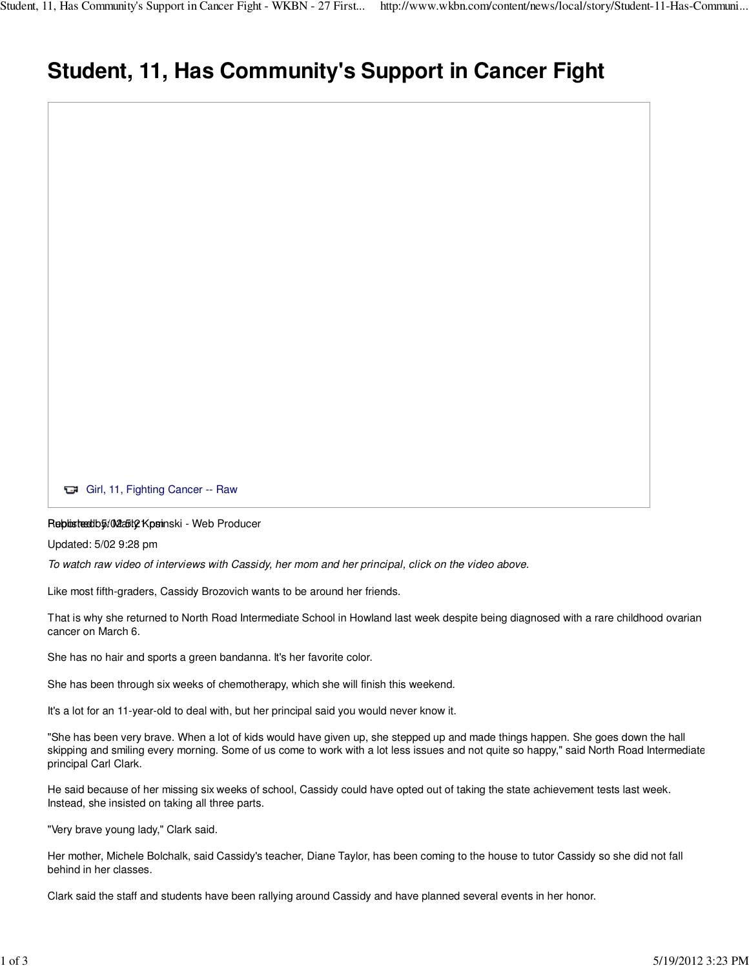## **Student, 11, Has Community's Support in Cancer Fight**



Updated: 5/02 9:28 pm

To watch raw video of interviews with Cassidy, her mom and her principal, click on the video above.

Like most fifth-graders, Cassidy Brozovich wants to be around her friends.

That is why she returned to North Road Intermediate School in Howland last week despite being diagnosed with a rare childhood ovarian cancer on March 6.

She has no hair and sports a green bandanna. It's her favorite color.

She has been through six weeks of chemotherapy, which she will finish this weekend.

It's a lot for an 11-year-old to deal with, but her principal said you would never know it.

"She has been very brave. When a lot of kids would have given up, she stepped up and made things happen. She goes down the hall skipping and smiling every morning. Some of us come to work with a lot less issues and not quite so happy," said North Road Intermediate principal Carl Clark.

He said because of her missing six weeks of school, Cassidy could have opted out of taking the state achievement tests last week. Instead, she insisted on taking all three parts.

"Very brave young lady," Clark said.

Her mother, Michele Bolchalk, said Cassidy's teacher, Diane Taylor, has been coming to the house to tutor Cassidy so she did not fall behind in her classes.

Clark said the staff and students have been rallying around Cassidy and have planned several events in her honor.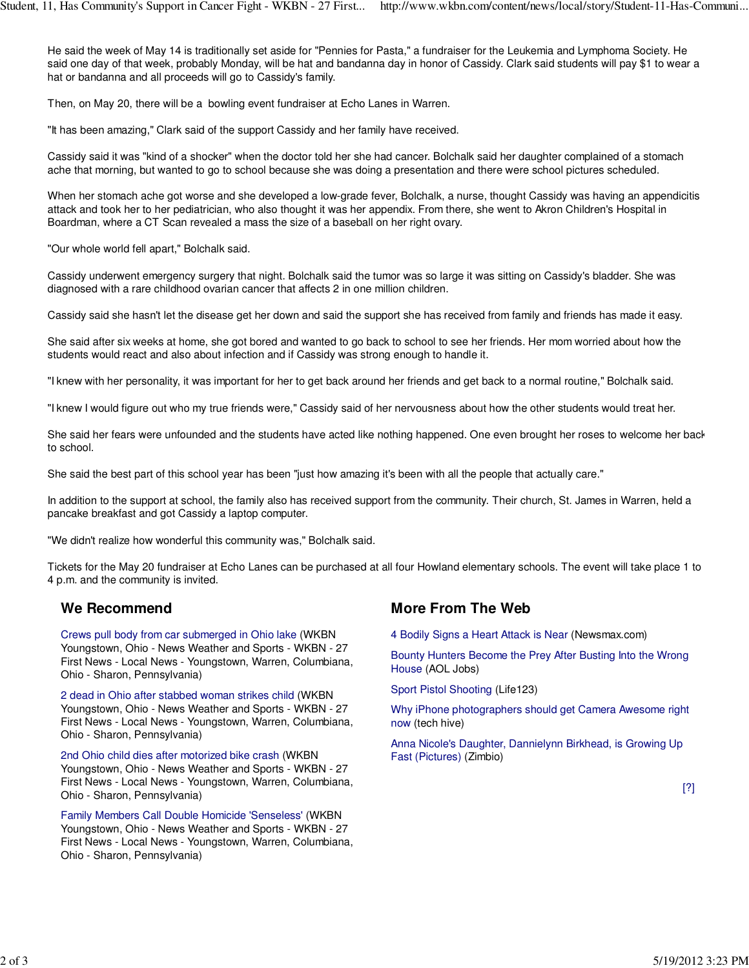He said the week of May 14 is traditionally set aside for "Pennies for Pasta," a fundraiser for the Leukemia and Lymphoma Society. He said one day of that week, probably Monday, will be hat and bandanna day in honor of Cassidy. Clark said students will pay \$1 to wear a hat or bandanna and all proceeds will go to Cassidy's family.

Then, on May 20, there will be a bowling event fundraiser at Echo Lanes in Warren.

"It has been amazing," Clark said of the support Cassidy and her family have received.

Cassidy said it was "kind of a shocker" when the doctor told her she had cancer. Bolchalk said her daughter complained of a stomach ache that morning, but wanted to go to school because she was doing a presentation and there were school pictures scheduled.

When her stomach ache got worse and she developed a low-grade fever, Bolchalk, a nurse, thought Cassidy was having an appendicitis attack and took her to her pediatrician, who also thought it was her appendix. From there, she went to Akron Children's Hospital in Boardman, where a CT Scan revealed a mass the size of a baseball on her right ovary.

"Our whole world fell apart," Bolchalk said.

Cassidy underwent emergency surgery that night. Bolchalk said the tumor was so large it was sitting on Cassidy's bladder. She was diagnosed with a rare childhood ovarian cancer that affects 2 in one million children.

Cassidy said she hasn't let the disease get her down and said the support she has received from family and friends has made it easy.

She said after six weeks at home, she got bored and wanted to go back to school to see her friends. Her mom worried about how the students would react and also about infection and if Cassidy was strong enough to handle it.

"I knew with her personality, it was important for her to get back around her friends and get back to a normal routine," Bolchalk said.

"I knew I would figure out who my true friends were," Cassidy said of her nervousness about how the other students would treat her.

She said her fears were unfounded and the students have acted like nothing happened. One even brought her roses to welcome her back to school.

She said the best part of this school year has been "just how amazing it's been with all the people that actually care."

In addition to the support at school, the family also has received support from the community. Their church, St. James in Warren, held a pancake breakfast and got Cassidy a laptop computer.

"We didn't realize how wonderful this community was," Bolchalk said.

Tickets for the May 20 fundraiser at Echo Lanes can be purchased at all four Howland elementary schools. The event will take place 1 to 4 p.m. and the community is invited.

## **We Recommend**

Crews pull body from car submerged in Ohio lake (WKBN Youngstown, Ohio - News Weather and Sports - WKBN - 27 First News - Local News - Youngstown, Warren, Columbiana, Ohio - Sharon, Pennsylvania)

2 dead in Ohio after stabbed woman strikes child (WKBN Youngstown, Ohio - News Weather and Sports - WKBN - 27 First News - Local News - Youngstown, Warren, Columbiana, Ohio - Sharon, Pennsylvania)

2nd Ohio child dies after motorized bike crash (WKBN Youngstown, Ohio - News Weather and Sports - WKBN - 27 First News - Local News - Youngstown, Warren, Columbiana, Ohio - Sharon, Pennsylvania)

Family Members Call Double Homicide 'Senseless' (WKBN Youngstown, Ohio - News Weather and Sports - WKBN - 27 First News - Local News - Youngstown, Warren, Columbiana, Ohio - Sharon, Pennsylvania)

## **More From The Web**

4 Bodily Signs a Heart Attack is Near (Newsmax.com)

Bounty Hunters Become the Prey After Busting Into the Wrong House (AOL Jobs)

Sport Pistol Shooting (Life123)

Why iPhone photographers should get Camera Awesome right now (tech hive)

Anna Nicole's Daughter, Dannielynn Birkhead, is Growing Up Fast (Pictures) (Zimbio)

[?]